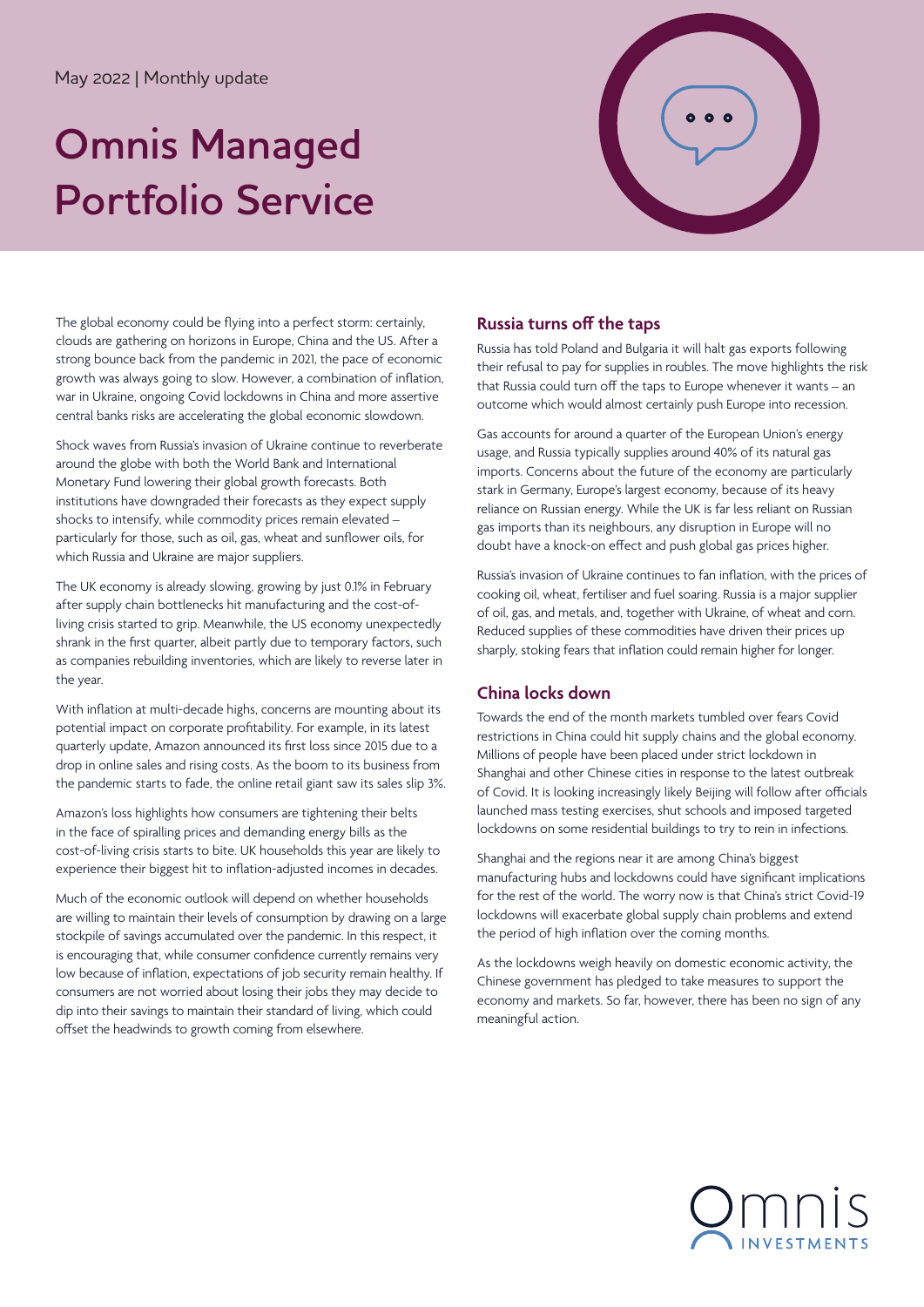## May 2022 | Monthly update

# **Omnis Managed Portfolio Service**



The global economy could be flying into a perfect storm: certainly, clouds are gathering on horizons in Europe, China and the US. After a strong bounce back from the pandemic in 2021, the pace of economic growth was always going to slow. However, a combination of inflation, war in Ukraine, ongoing Covid lockdowns in China and more assertive central banks risks are accelerating the global economic slowdown.

Shock waves from Russia's invasion of Ukraine continue to reverberate around the globe with both the World Bank and International Monetary Fund lowering their global growth forecasts. Both institutions have downgraded their forecasts as they expect supply shocks to intensify, while commodity prices remain elevated – particularly for those, such as oil, gas, wheat and sunflower oils, for which Russia and Ukraine are major suppliers.

The UK economy is already slowing, growing by just 0.1% in February after supply chain bottlenecks hit manufacturing and the cost-ofliving crisis started to grip. Meanwhile, the US economy unexpectedly shrank in the first quarter, albeit partly due to temporary factors, such as companies rebuilding inventories, which are likely to reverse later in the year.

With inflation at multi-decade highs, concerns are mounting about its potential impact on corporate profitability. For example, in its latest quarterly update, Amazon announced its first loss since 2015 due to a drop in online sales and rising costs. As the boom to its business from the pandemic starts to fade, the online retail giant saw its sales slip 3%.

Amazon's loss highlights how consumers are tightening their belts in the face of spiralling prices and demanding energy bills as the cost-of-living crisis starts to bite. UK households this year are likely to experience their biggest hit to inflation-adjusted incomes in decades.

Much of the economic outlook will depend on whether households are willing to maintain their levels of consumption by drawing on a large stockpile of savings accumulated over the pandemic. In this respect, it is encouraging that, while consumer confidence currently remains very low because of inflation, expectations of job security remain healthy. If consumers are not worried about losing their jobs they may decide to dip into their savings to maintain their standard of living, which could offset the headwinds to growth coming from elsewhere.

# **Russia turns off the taps**

Russia has told Poland and Bulgaria it will halt gas exports following their refusal to pay for supplies in roubles. The move highlights the risk that Russia could turn off the taps to Europe whenever it wants – an outcome which would almost certainly push Europe into recession.

Gas accounts for around a quarter of the European Union's energy usage, and Russia typically supplies around 40% of its natural gas imports. Concerns about the future of the economy are particularly stark in Germany, Europe's largest economy, because of its heavy reliance on Russian energy. While the UK is far less reliant on Russian gas imports than its neighbours, any disruption in Europe will no doubt have a knock-on effect and push global gas prices higher.

Russia's invasion of Ukraine continues to fan inflation, with the prices of cooking oil, wheat, fertiliser and fuel soaring. Russia is a major supplier of oil, gas, and metals, and, together with Ukraine, of wheat and corn. Reduced supplies of these commodities have driven their prices up sharply, stoking fears that inflation could remain higher for longer.

# **China locks down**

Towards the end of the month markets tumbled over fears Covid restrictions in China could hit supply chains and the global economy. Millions of people have been placed under strict lockdown in Shanghai and other Chinese cities in response to the latest outbreak of Covid. It is looking increasingly likely Beijing will follow after officials launched mass testing exercises, shut schools and imposed targeted lockdowns on some residential buildings to try to rein in infections.

Shanghai and the regions near it are among China's biggest manufacturing hubs and lockdowns could have significant implications for the rest of the world. The worry now is that China's strict Covid-19 lockdowns will exacerbate global supply chain problems and extend the period of high inflation over the coming months.

As the lockdowns weigh heavily on domestic economic activity, the Chinese government has pledged to take measures to support the economy and markets. So far, however, there has been no sign of any meaningful action.